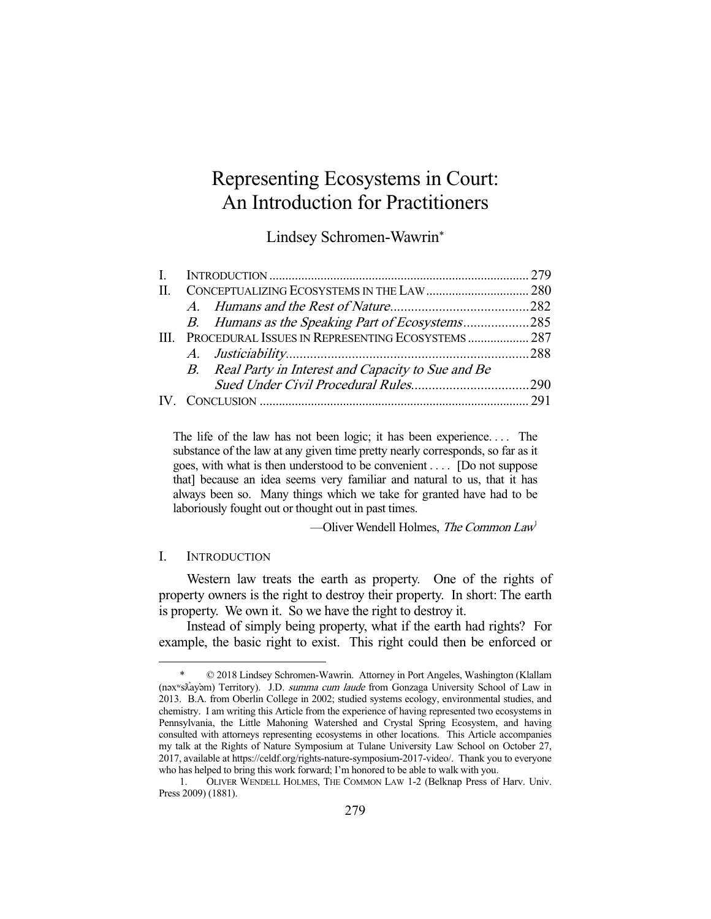# Representing Ecosystems in Court: An Introduction for Practitioners

Lindsey Schromen-Wawrin\*

| $\mathbf{I}$ |                                                       |                                                      |  |
|--------------|-------------------------------------------------------|------------------------------------------------------|--|
| $\mathbf{H}$ |                                                       |                                                      |  |
|              |                                                       |                                                      |  |
|              |                                                       |                                                      |  |
|              | III. PROCEDURAL ISSUES IN REPRESENTING ECOSYSTEMS 287 |                                                      |  |
|              |                                                       |                                                      |  |
|              |                                                       | B. Real Party in Interest and Capacity to Sue and Be |  |
|              |                                                       |                                                      |  |
|              |                                                       |                                                      |  |
|              |                                                       |                                                      |  |

The life of the law has not been logic; it has been experience. . . . The substance of the law at any given time pretty nearly corresponds, so far as it goes, with what is then understood to be convenient . . . . [Do not suppose that] because an idea seems very familiar and natural to us, that it has always been so. Many things which we take for granted have had to be laboriously fought out or thought out in past times.

—Oliver Wendell Holmes, The Common Law<sup>1</sup>

#### I. INTRODUCTION

-

 Western law treats the earth as property. One of the rights of property owners is the right to destroy their property. In short: The earth is property. We own it. So we have the right to destroy it.

 Instead of simply being property, what if the earth had rights? For example, the basic right to exist. This right could then be enforced or

 $©$  2018 Lindsey Schromen-Wawrin. Attorney in Port Angeles, Washington (Klallam (nəx<sup>w</sup>sÂay`əm) Territory). J.D. summa cum laude from Gonzaga University School of Law in 2013. B.A. from Oberlin College in 2002; studied systems ecology, environmental studies, and chemistry. I am writing this Article from the experience of having represented two ecosystems in Pennsylvania, the Little Mahoning Watershed and Crystal Spring Ecosystem, and having consulted with attorneys representing ecosystems in other locations. This Article accompanies my talk at the Rights of Nature Symposium at Tulane University Law School on October 27, 2017, available at https://celdf.org/rights-nature-symposium-2017-video/. Thank you to everyone who has helped to bring this work forward; I'm honored to be able to walk with you.

 <sup>1.</sup> OLIVER WENDELL HOLMES, THE COMMON LAW 1-2 (Belknap Press of Harv. Univ. Press 2009) (1881).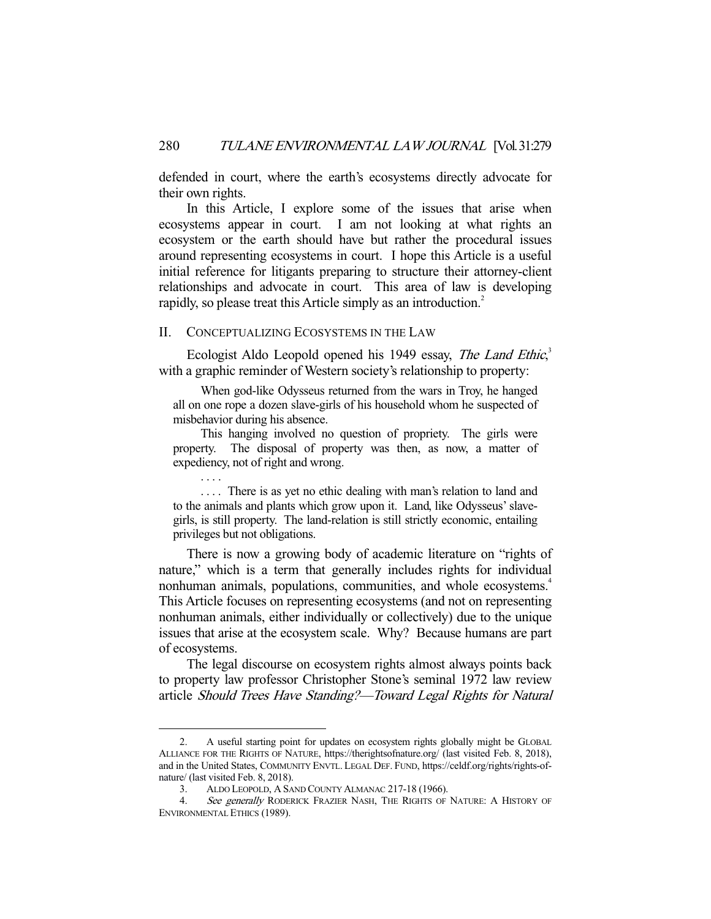defended in court, where the earth's ecosystems directly advocate for their own rights.

 In this Article, I explore some of the issues that arise when ecosystems appear in court. I am not looking at what rights an ecosystem or the earth should have but rather the procedural issues around representing ecosystems in court. I hope this Article is a useful initial reference for litigants preparing to structure their attorney-client relationships and advocate in court. This area of law is developing rapidly, so please treat this Article simply as an introduction.<sup>2</sup>

### II. CONCEPTUALIZING ECOSYSTEMS IN THE LAW

. . . .

-

Ecologist Aldo Leopold opened his 1949 essay, The Land Ethic,<sup>3</sup> with a graphic reminder of Western society's relationship to property:

 When god-like Odysseus returned from the wars in Troy, he hanged all on one rope a dozen slave-girls of his household whom he suspected of misbehavior during his absence.

 This hanging involved no question of propriety. The girls were property. The disposal of property was then, as now, a matter of expediency, not of right and wrong.

.... There is as yet no ethic dealing with man's relation to land and to the animals and plants which grow upon it. Land, like Odysseus' slavegirls, is still property. The land-relation is still strictly economic, entailing privileges but not obligations.

 There is now a growing body of academic literature on "rights of nature," which is a term that generally includes rights for individual nonhuman animals, populations, communities, and whole ecosystems.<sup>4</sup> This Article focuses on representing ecosystems (and not on representing nonhuman animals, either individually or collectively) due to the unique issues that arise at the ecosystem scale. Why? Because humans are part of ecosystems.

 The legal discourse on ecosystem rights almost always points back to property law professor Christopher Stone's seminal 1972 law review article Should Trees Have Standing?—Toward Legal Rights for Natural

 <sup>2.</sup> A useful starting point for updates on ecosystem rights globally might be GLOBAL ALLIANCE FOR THE RIGHTS OF NATURE, https://therightsofnature.org/ (last visited Feb. 8, 2018), and in the United States, COMMUNITY ENVTL. LEGAL DEF. FUND, https://celdf.org/rights/rights-ofnature/ (last visited Feb. 8, 2018).

 <sup>3.</sup> ALDO LEOPOLD, A SAND COUNTY ALMANAC 217-18 (1966).

<sup>4.</sup> See generally RODERICK FRAZIER NASH, THE RIGHTS OF NATURE: A HISTORY OF ENVIRONMENTAL ETHICS (1989).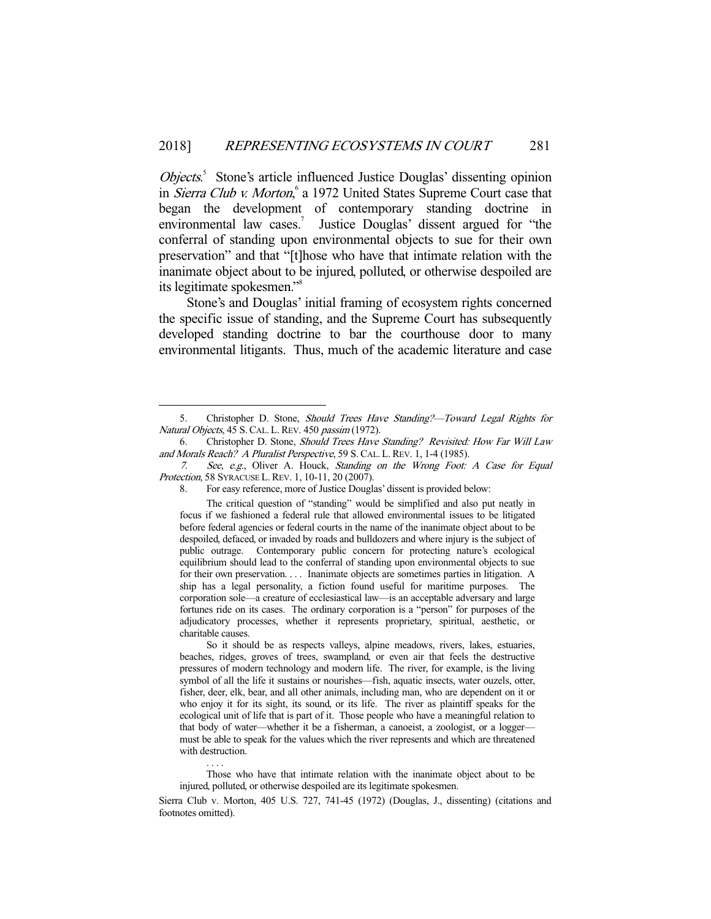Objects.<sup>5</sup> Stone's article influenced Justice Douglas' dissenting opinion in Sierra Club v. Morton, a 1972 United States Supreme Court case that began the development of contemporary standing doctrine in environmental law cases.<sup>7</sup> Justice Douglas' dissent argued for "the conferral of standing upon environmental objects to sue for their own preservation" and that "[t]hose who have that intimate relation with the inanimate object about to be injured, polluted, or otherwise despoiled are its legitimate spokesmen."<sup>8</sup>

 Stone's and Douglas' initial framing of ecosystem rights concerned the specific issue of standing, and the Supreme Court has subsequently developed standing doctrine to bar the courthouse door to many environmental litigants. Thus, much of the academic literature and case

-

. . . .

 <sup>5.</sup> Christopher D. Stone, Should Trees Have Standing?—Toward Legal Rights for Natural Objects, 45 S. CAL. L. REV. 450 passim (1972).

 <sup>6.</sup> Christopher D. Stone, Should Trees Have Standing? Revisited: How Far Will Law and Morals Reach? A Pluralist Perspective, 59 S. CAL. L. REV. 1, 1-4 (1985).

 <sup>7.</sup> See, e.g., Oliver A. Houck, Standing on the Wrong Foot: A Case for Equal Protection, 58 SYRACUSE L.REV. 1, 10-11, 20 (2007).

 <sup>8.</sup> For easy reference, more of Justice Douglas' dissent is provided below:

The critical question of "standing" would be simplified and also put neatly in focus if we fashioned a federal rule that allowed environmental issues to be litigated before federal agencies or federal courts in the name of the inanimate object about to be despoiled, defaced, or invaded by roads and bulldozers and where injury is the subject of public outrage. Contemporary public concern for protecting nature's ecological equilibrium should lead to the conferral of standing upon environmental objects to sue for their own preservation. . . . Inanimate objects are sometimes parties in litigation. A ship has a legal personality, a fiction found useful for maritime purposes. The corporation sole—a creature of ecclesiastical law—is an acceptable adversary and large fortunes ride on its cases. The ordinary corporation is a "person" for purposes of the adjudicatory processes, whether it represents proprietary, spiritual, aesthetic, or charitable causes.

So it should be as respects valleys, alpine meadows, rivers, lakes, estuaries, beaches, ridges, groves of trees, swampland, or even air that feels the destructive pressures of modern technology and modern life. The river, for example, is the living symbol of all the life it sustains or nourishes—fish, aquatic insects, water ouzels, otter, fisher, deer, elk, bear, and all other animals, including man, who are dependent on it or who enjoy it for its sight, its sound, or its life. The river as plaintiff speaks for the ecological unit of life that is part of it. Those people who have a meaningful relation to that body of water—whether it be a fisherman, a canoeist, a zoologist, or a logger must be able to speak for the values which the river represents and which are threatened with destruction.

Those who have that intimate relation with the inanimate object about to be injured, polluted, or otherwise despoiled are its legitimate spokesmen.

Sierra Club v. Morton, 405 U.S. 727, 741-45 (1972) (Douglas, J., dissenting) (citations and footnotes omitted).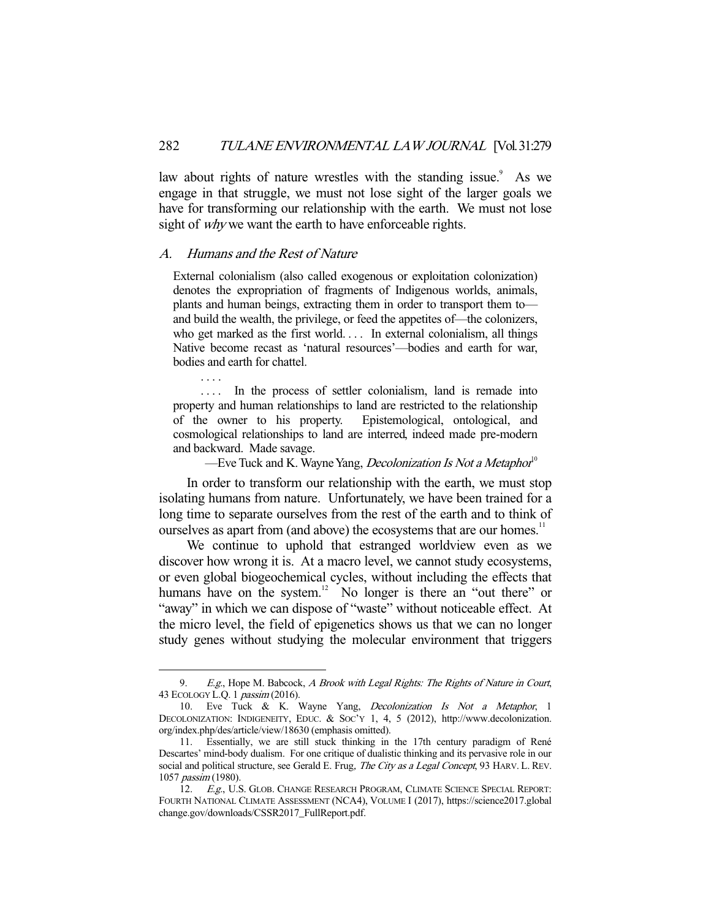law about rights of nature wrestles with the standing issue.<sup>9</sup> As we engage in that struggle, we must not lose sight of the larger goals we have for transforming our relationship with the earth. We must not lose sight of *why* we want the earth to have enforceable rights.

#### A. Humans and the Rest of Nature

. . . .

-

External colonialism (also called exogenous or exploitation colonization) denotes the expropriation of fragments of Indigenous worlds, animals, plants and human beings, extracting them in order to transport them to and build the wealth, the privilege, or feed the appetites of—the colonizers, who get marked as the first world.... In external colonialism, all things Native become recast as 'natural resources'—bodies and earth for war, bodies and earth for chattel.

.... In the process of settler colonialism, land is remade into property and human relationships to land are restricted to the relationship of the owner to his property. Epistemological, ontological, and cosmological relationships to land are interred, indeed made pre-modern and backward. Made savage.

—Eve Tuck and K. Wayne Yang, *Decolonization Is Not a Metaphor*<sup>10</sup>

 In order to transform our relationship with the earth, we must stop isolating humans from nature. Unfortunately, we have been trained for a long time to separate ourselves from the rest of the earth and to think of ourselves as apart from (and above) the ecosystems that are our homes.<sup>11</sup>

 We continue to uphold that estranged worldview even as we discover how wrong it is. At a macro level, we cannot study ecosystems, or even global biogeochemical cycles, without including the effects that humans have on the system.<sup>12</sup> No longer is there an "out there" or "away" in which we can dispose of "waste" without noticeable effect. At the micro level, the field of epigenetics shows us that we can no longer study genes without studying the molecular environment that triggers

<sup>9.</sup> E.g., Hope M. Babcock, A Brook with Legal Rights: The Rights of Nature in Court, 43 ECOLOGY L.Q. 1 passim (2016).

 <sup>10.</sup> Eve Tuck & K. Wayne Yang, Decolonization Is Not a Metaphor, 1 DECOLONIZATION: INDIGENEITY, EDUC. & SOC'Y 1, 4, 5 (2012), http://www.decolonization. org/index.php/des/article/view/18630 (emphasis omitted).

 <sup>11.</sup> Essentially, we are still stuck thinking in the 17th century paradigm of René Descartes' mind-body dualism. For one critique of dualistic thinking and its pervasive role in our social and political structure, see Gerald E. Frug, The City as a Legal Concept, 93 HARV. L. REV. 1057 passim (1980).

 <sup>12.</sup> E.g., U.S. GLOB. CHANGE RESEARCH PROGRAM, CLIMATE SCIENCE SPECIAL REPORT: FOURTH NATIONAL CLIMATE ASSESSMENT (NCA4), VOLUME I (2017), https://science2017.global change.gov/downloads/CSSR2017\_FullReport.pdf.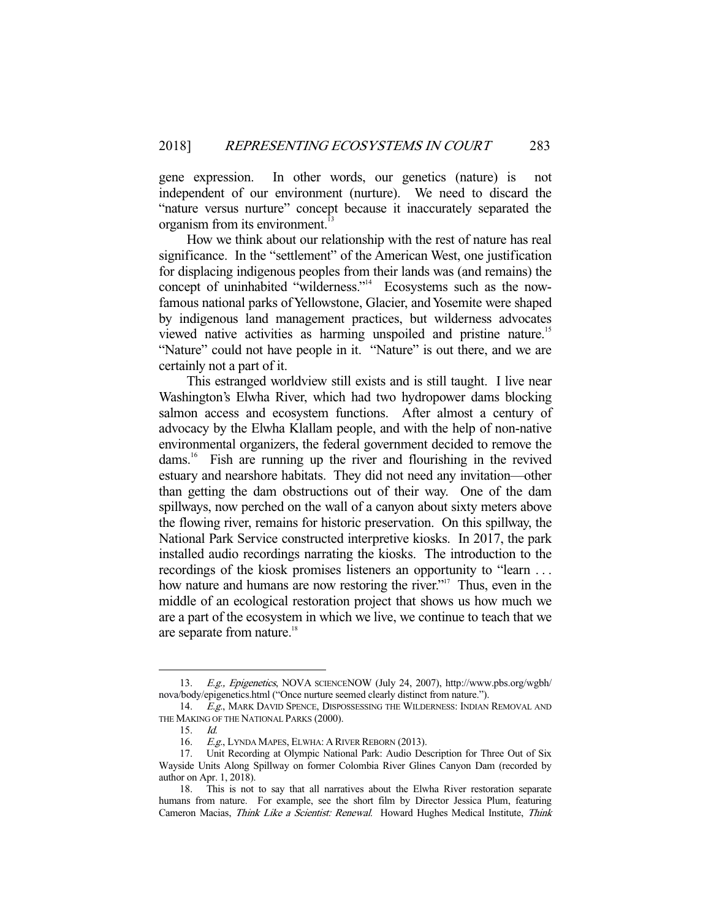gene expression. In other words, our genetics (nature) is not independent of our environment (nurture). We need to discard the "nature versus nurture" concept because it inaccurately separated the organism from its environment.<sup>13</sup>

 How we think about our relationship with the rest of nature has real significance. In the "settlement" of the American West, one justification for displacing indigenous peoples from their lands was (and remains) the concept of uninhabited "wilderness."<sup>14</sup> Ecosystems such as the nowfamous national parks of Yellowstone, Glacier, and Yosemite were shaped by indigenous land management practices, but wilderness advocates viewed native activities as harming unspoiled and pristine nature.<sup>15</sup> "Nature" could not have people in it. "Nature" is out there, and we are certainly not a part of it.

 This estranged worldview still exists and is still taught. I live near Washington's Elwha River, which had two hydropower dams blocking salmon access and ecosystem functions. After almost a century of advocacy by the Elwha Klallam people, and with the help of non-native environmental organizers, the federal government decided to remove the dams.<sup>16</sup> Fish are running up the river and flourishing in the revived estuary and nearshore habitats. They did not need any invitation—other than getting the dam obstructions out of their way. One of the dam spillways, now perched on the wall of a canyon about sixty meters above the flowing river, remains for historic preservation. On this spillway, the National Park Service constructed interpretive kiosks. In 2017, the park installed audio recordings narrating the kiosks. The introduction to the recordings of the kiosk promises listeners an opportunity to "learn . . . how nature and humans are now restoring the river."<sup>17</sup> Thus, even in the middle of an ecological restoration project that shows us how much we are a part of the ecosystem in which we live, we continue to teach that we are separate from nature.<sup>18</sup>

<sup>13.</sup> E.g., Epigenetics, NOVA SCIENCENOW (July 24, 2007), http://www.pbs.org/wgbh/ nova/body/epigenetics.html ("Once nurture seemed clearly distinct from nature.").

 <sup>14.</sup> E.g., MARK DAVID SPENCE, DISPOSSESSING THE WILDERNESS: INDIAN REMOVAL AND THE MAKING OF THE NATIONAL PARKS (2000).

 <sup>15.</sup> Id.

<sup>16.</sup> E.g., LYNDA MAPES, ELWHA: A RIVER REBORN (2013).

 <sup>17.</sup> Unit Recording at Olympic National Park: Audio Description for Three Out of Six Wayside Units Along Spillway on former Colombia River Glines Canyon Dam (recorded by author on Apr. 1, 2018).

 <sup>18.</sup> This is not to say that all narratives about the Elwha River restoration separate humans from nature. For example, see the short film by Director Jessica Plum, featuring Cameron Macias, Think Like a Scientist: Renewal. Howard Hughes Medical Institute, Think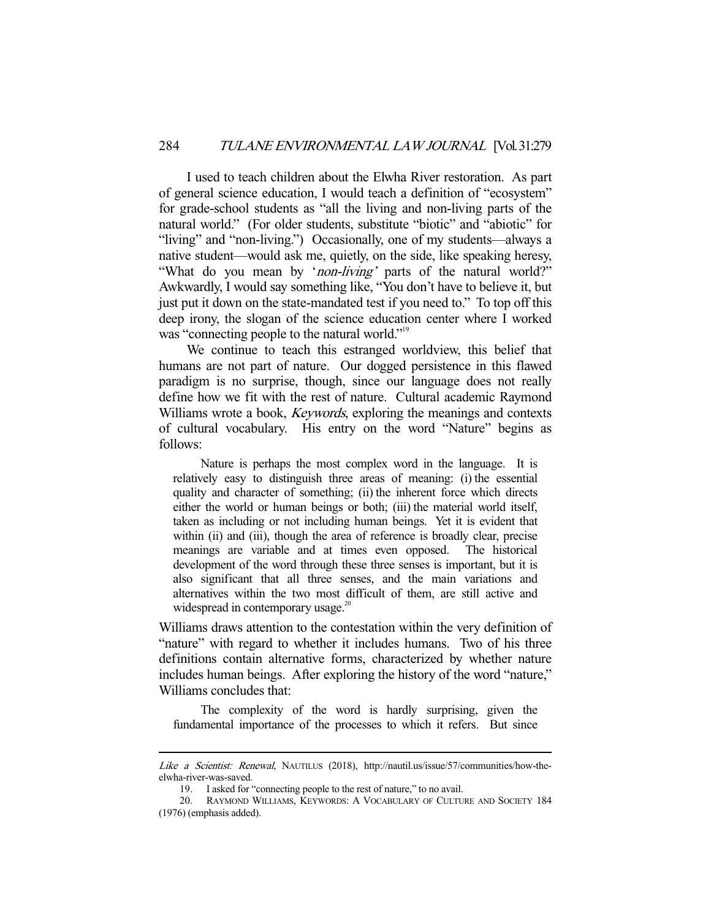I used to teach children about the Elwha River restoration. As part of general science education, I would teach a definition of "ecosystem" for grade-school students as "all the living and non-living parts of the natural world." (For older students, substitute "biotic" and "abiotic" for "living" and "non-living.") Occasionally, one of my students—always a native student—would ask me, quietly, on the side, like speaking heresy, "What do you mean by '*non-living*' parts of the natural world?" Awkwardly, I would say something like, "You don't have to believe it, but just put it down on the state-mandated test if you need to." To top off this deep irony, the slogan of the science education center where I worked was "connecting people to the natural world."<sup>19</sup>

 We continue to teach this estranged worldview, this belief that humans are not part of nature. Our dogged persistence in this flawed paradigm is no surprise, though, since our language does not really define how we fit with the rest of nature. Cultural academic Raymond Williams wrote a book, *Keywords*, exploring the meanings and contexts of cultural vocabulary. His entry on the word "Nature" begins as follows:

 Nature is perhaps the most complex word in the language. It is relatively easy to distinguish three areas of meaning: (i) the essential quality and character of something; (ii) the inherent force which directs either the world or human beings or both; (iii) the material world itself, taken as including or not including human beings. Yet it is evident that within (ii) and (iii), though the area of reference is broadly clear, precise meanings are variable and at times even opposed. The historical development of the word through these three senses is important, but it is also significant that all three senses, and the main variations and alternatives within the two most difficult of them, are still active and widespread in contemporary usage.<sup>20</sup>

Williams draws attention to the contestation within the very definition of "nature" with regard to whether it includes humans. Two of his three definitions contain alternative forms, characterized by whether nature includes human beings. After exploring the history of the word "nature," Williams concludes that:

 The complexity of the word is hardly surprising, given the fundamental importance of the processes to which it refers. But since

Like a Scientist: Renewal, NAUTILUS (2018), http://nautil.us/issue/57/communities/how-theelwha-river-was-saved.

 <sup>19.</sup> I asked for "connecting people to the rest of nature," to no avail.

 <sup>20.</sup> RAYMOND WILLIAMS, KEYWORDS: A VOCABULARY OF CULTURE AND SOCIETY 184 (1976) (emphasis added).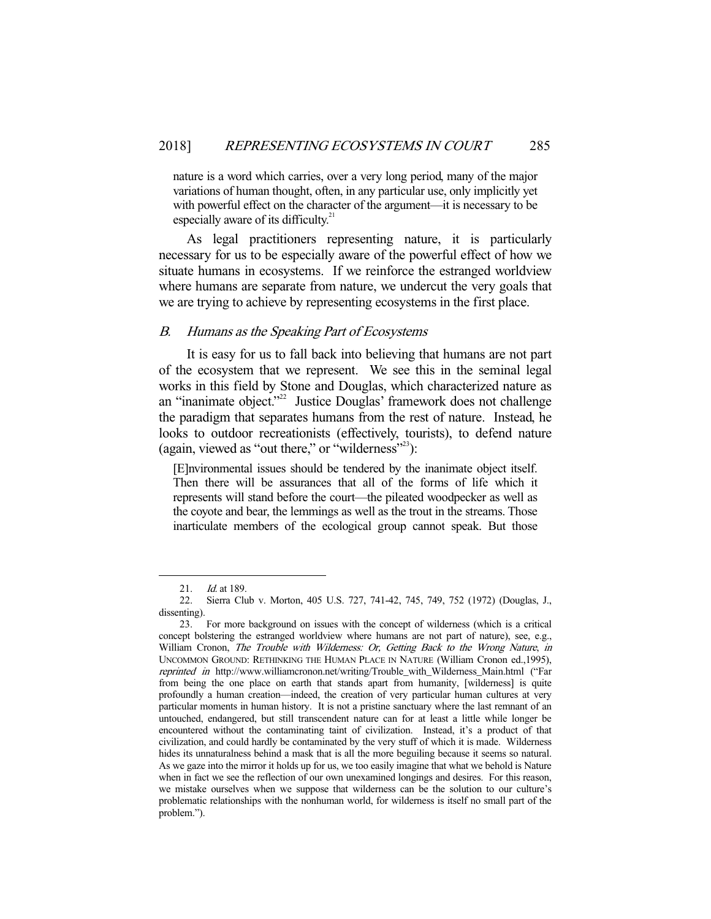nature is a word which carries, over a very long period, many of the major variations of human thought, often, in any particular use, only implicitly yet with powerful effect on the character of the argument—it is necessary to be especially aware of its difficulty.<sup>21</sup>

 As legal practitioners representing nature, it is particularly necessary for us to be especially aware of the powerful effect of how we situate humans in ecosystems. If we reinforce the estranged worldview where humans are separate from nature, we undercut the very goals that we are trying to achieve by representing ecosystems in the first place.

## B. Humans as the Speaking Part of Ecosystems

 It is easy for us to fall back into believing that humans are not part of the ecosystem that we represent. We see this in the seminal legal works in this field by Stone and Douglas, which characterized nature as an "inanimate object."<sup>22</sup> Justice Douglas' framework does not challenge the paradigm that separates humans from the rest of nature. Instead, he looks to outdoor recreationists (effectively, tourists), to defend nature (again, viewed as "out there," or "wilderness"):

[E]nvironmental issues should be tendered by the inanimate object itself. Then there will be assurances that all of the forms of life which it represents will stand before the court—the pileated woodpecker as well as the coyote and bear, the lemmings as well as the trout in the streams. Those inarticulate members of the ecological group cannot speak. But those

<sup>21.</sup> *Id.* at 189.

 <sup>22.</sup> Sierra Club v. Morton, 405 U.S. 727, 741-42, 745, 749, 752 (1972) (Douglas, J., dissenting).

 <sup>23.</sup> For more background on issues with the concept of wilderness (which is a critical concept bolstering the estranged worldview where humans are not part of nature), see, e.g., William Cronon, The Trouble with Wilderness: Or, Getting Back to the Wrong Nature, in UNCOMMON GROUND: RETHINKING THE HUMAN PLACE IN NATURE (William Cronon ed.,1995), reprinted in http://www.williamcronon.net/writing/Trouble\_with\_Wilderness\_Main.html ("Far from being the one place on earth that stands apart from humanity, [wilderness] is quite profoundly a human creation—indeed, the creation of very particular human cultures at very particular moments in human history. It is not a pristine sanctuary where the last remnant of an untouched, endangered, but still transcendent nature can for at least a little while longer be encountered without the contaminating taint of civilization. Instead, it's a product of that civilization, and could hardly be contaminated by the very stuff of which it is made. Wilderness hides its unnaturalness behind a mask that is all the more beguiling because it seems so natural. As we gaze into the mirror it holds up for us, we too easily imagine that what we behold is Nature when in fact we see the reflection of our own unexamined longings and desires. For this reason, we mistake ourselves when we suppose that wilderness can be the solution to our culture's problematic relationships with the nonhuman world, for wilderness is itself no small part of the problem.").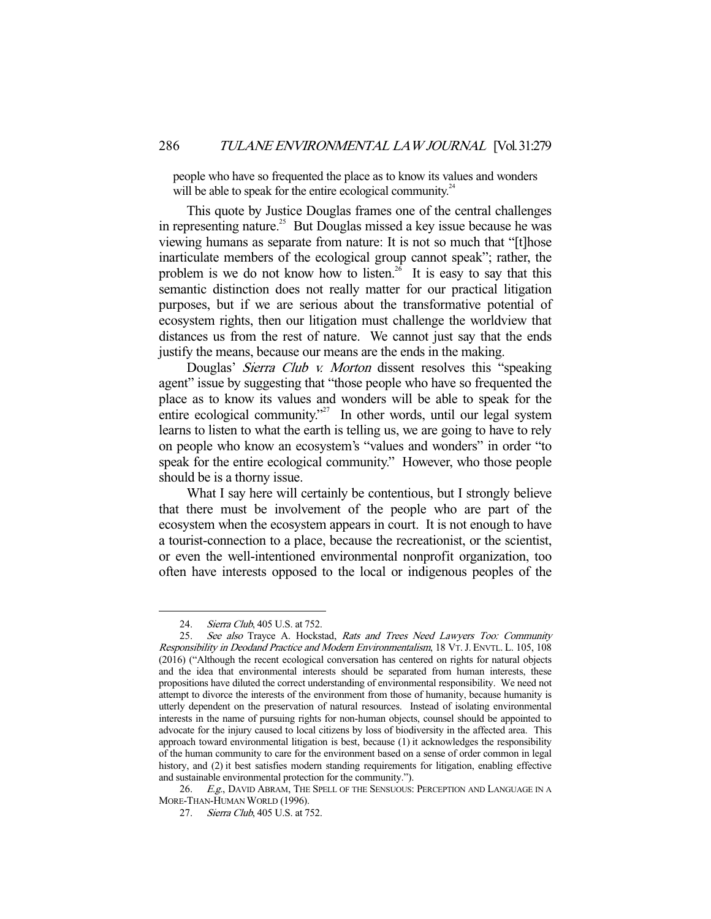people who have so frequented the place as to know its values and wonders will be able to speak for the entire ecological community.<sup>24</sup>

 This quote by Justice Douglas frames one of the central challenges in representing nature.<sup>25</sup> But Douglas missed a key issue because he was viewing humans as separate from nature: It is not so much that "[t]hose inarticulate members of the ecological group cannot speak"; rather, the problem is we do not know how to listen.<sup>26</sup> It is easy to say that this semantic distinction does not really matter for our practical litigation purposes, but if we are serious about the transformative potential of ecosystem rights, then our litigation must challenge the worldview that distances us from the rest of nature. We cannot just say that the ends justify the means, because our means are the ends in the making.

Douglas' *Sierra Club v. Morton* dissent resolves this "speaking agent" issue by suggesting that "those people who have so frequented the place as to know its values and wonders will be able to speak for the entire ecological community."<sup>27</sup> In other words, until our legal system learns to listen to what the earth is telling us, we are going to have to rely on people who know an ecosystem's "values and wonders" in order "to speak for the entire ecological community." However, who those people should be is a thorny issue.

What I say here will certainly be contentious, but I strongly believe that there must be involvement of the people who are part of the ecosystem when the ecosystem appears in court. It is not enough to have a tourist-connection to a place, because the recreationist, or the scientist, or even the well-intentioned environmental nonprofit organization, too often have interests opposed to the local or indigenous peoples of the

 <sup>24.</sup> Sierra Club, 405 U.S. at 752.

<sup>25.</sup> See also Trayce A. Hockstad, Rats and Trees Need Lawyers Too: Community Responsibility in Deodand Practice and Modern Environmentalism, 18 VT.J. ENVTL. L. 105, 108 (2016) ("Although the recent ecological conversation has centered on rights for natural objects and the idea that environmental interests should be separated from human interests, these propositions have diluted the correct understanding of environmental responsibility. We need not attempt to divorce the interests of the environment from those of humanity, because humanity is utterly dependent on the preservation of natural resources. Instead of isolating environmental interests in the name of pursuing rights for non-human objects, counsel should be appointed to advocate for the injury caused to local citizens by loss of biodiversity in the affected area. This approach toward environmental litigation is best, because (1) it acknowledges the responsibility of the human community to care for the environment based on a sense of order common in legal history, and (2) it best satisfies modern standing requirements for litigation, enabling effective and sustainable environmental protection for the community.").

<sup>26.</sup> E.g., DAVID ABRAM, THE SPELL OF THE SENSUOUS: PERCEPTION AND LANGUAGE IN A MORE-THAN-HUMAN WORLD (1996).

<sup>27.</sup> Sierra Club, 405 U.S. at 752.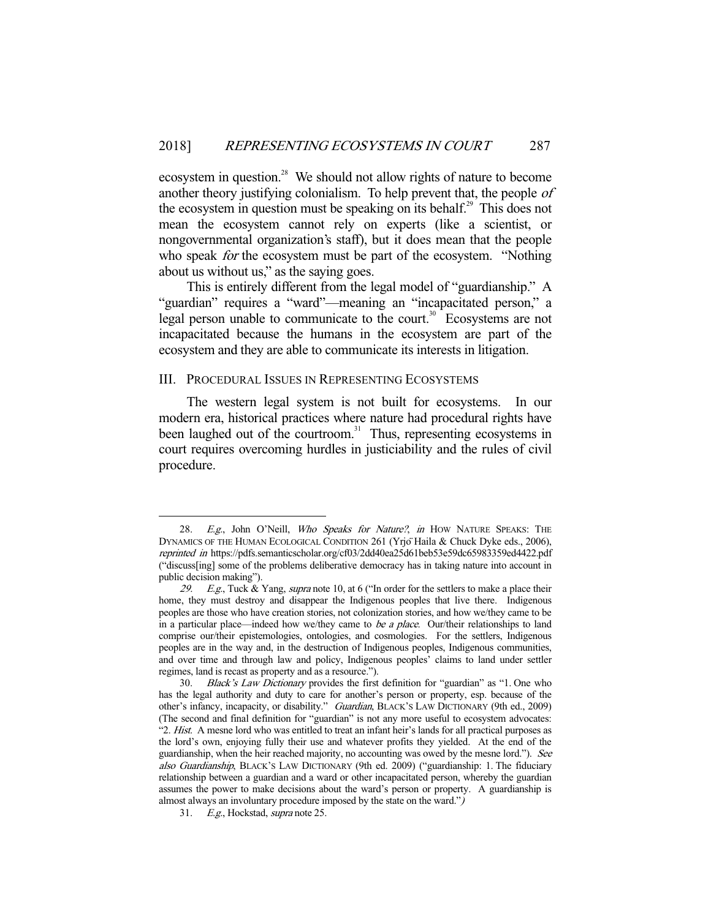ecosystem in question.<sup>28</sup> We should not allow rights of nature to become another theory justifying colonialism. To help prevent that, the people of the ecosystem in question must be speaking on its behalf.<sup>29</sup> This does not mean the ecosystem cannot rely on experts (like a scientist, or nongovernmental organization's staff), but it does mean that the people who speak *for* the ecosystem must be part of the ecosystem. "Nothing about us without us," as the saying goes.

 This is entirely different from the legal model of "guardianship." A "guardian" requires a "ward"—meaning an "incapacitated person," a legal person unable to communicate to the court.<sup>30</sup> Ecosystems are not incapacitated because the humans in the ecosystem are part of the ecosystem and they are able to communicate its interests in litigation.

#### III. PROCEDURAL ISSUES IN REPRESENTING ECOSYSTEMS

 The western legal system is not built for ecosystems. In our modern era, historical practices where nature had procedural rights have been laughed out of the courtroom.<sup>31</sup> Thus, representing ecosystems in court requires overcoming hurdles in justiciability and the rules of civil procedure.

<sup>28.</sup> E.g., John O'Neill, Who Speaks for Nature?, in HOW NATURE SPEAKS: THE DYNAMICS OF THE HUMAN ECOLOGICAL CONDITION 261 (Yrjö Haila & Chuck Dyke eds., 2006), reprinted in https://pdfs.semanticscholar.org/cf03/2dd40ea25d61beb53e59dc65983359ed4422.pdf ("discuss[ing] some of the problems deliberative democracy has in taking nature into account in public decision making").

<sup>29.</sup> E.g., Tuck & Yang, supra note 10, at 6 ("In order for the settlers to make a place their home, they must destroy and disappear the Indigenous peoples that live there. Indigenous peoples are those who have creation stories, not colonization stories, and how we/they came to be in a particular place—indeed how we/they came to be a place. Our/their relationships to land comprise our/their epistemologies, ontologies, and cosmologies. For the settlers, Indigenous peoples are in the way and, in the destruction of Indigenous peoples, Indigenous communities, and over time and through law and policy, Indigenous peoples' claims to land under settler regimes, land is recast as property and as a resource.").

 <sup>30.</sup> Black's Law Dictionary provides the first definition for "guardian" as "1. One who has the legal authority and duty to care for another's person or property, esp. because of the other's infancy, incapacity, or disability." Guardian, BLACK'S LAW DICTIONARY (9th ed., 2009) (The second and final definition for "guardian" is not any more useful to ecosystem advocates: "2. Hist. A mesne lord who was entitled to treat an infant heir's lands for all practical purposes as the lord's own, enjoying fully their use and whatever profits they yielded. At the end of the guardianship, when the heir reached majority, no accounting was owed by the mesne lord."). See also Guardianship, BLACK'S LAW DICTIONARY (9th ed. 2009) ("guardianship: 1. The fiduciary relationship between a guardian and a ward or other incapacitated person, whereby the guardian assumes the power to make decisions about the ward's person or property. A guardianship is almost always an involuntary procedure imposed by the state on the ward.")

 <sup>31.</sup> E.g., Hockstad, supra note 25.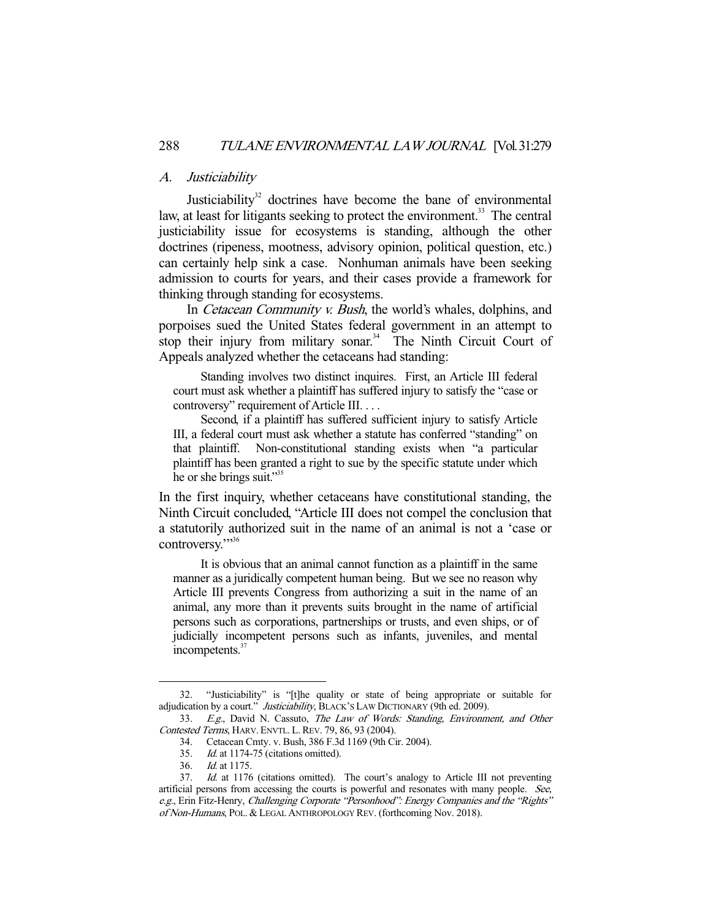# A. Justiciability

Justiciability $32$  doctrines have become the bane of environmental law, at least for litigants seeking to protect the environment.<sup>33</sup> The central justiciability issue for ecosystems is standing, although the other doctrines (ripeness, mootness, advisory opinion, political question, etc.) can certainly help sink a case. Nonhuman animals have been seeking admission to courts for years, and their cases provide a framework for thinking through standing for ecosystems.

 In Cetacean Community v. Bush, the world's whales, dolphins, and porpoises sued the United States federal government in an attempt to stop their injury from military sonar.<sup>34</sup> The Ninth Circuit Court of Appeals analyzed whether the cetaceans had standing:

 Standing involves two distinct inquires. First, an Article III federal court must ask whether a plaintiff has suffered injury to satisfy the "case or controversy" requirement of Article III. . . .

 Second, if a plaintiff has suffered sufficient injury to satisfy Article III, a federal court must ask whether a statute has conferred "standing" on that plaintiff. Non-constitutional standing exists when "a particular plaintiff has been granted a right to sue by the specific statute under which he or she brings suit."<sup>35</sup>

In the first inquiry, whether cetaceans have constitutional standing, the Ninth Circuit concluded, "Article III does not compel the conclusion that a statutorily authorized suit in the name of an animal is not a 'case or controversy.""36

 It is obvious that an animal cannot function as a plaintiff in the same manner as a juridically competent human being. But we see no reason why Article III prevents Congress from authorizing a suit in the name of an animal, any more than it prevents suits brought in the name of artificial persons such as corporations, partnerships or trusts, and even ships, or of judicially incompetent persons such as infants, juveniles, and mental incompetents.<sup>37</sup>

 <sup>32. &</sup>quot;Justiciability" is "[t]he quality or state of being appropriate or suitable for adjudication by a court." Justiciability, BLACK's LAW DICTIONARY (9th ed. 2009).

 <sup>33.</sup> E.g., David N. Cassuto, The Law of Words: Standing, Environment, and Other Contested Terms, HARV.ENVTL. L.REV. 79, 86, 93 (2004).

 <sup>34.</sup> Cetacean Cmty. v. Bush, 386 F.3d 1169 (9th Cir. 2004).

 <sup>35.</sup> Id. at 1174-75 (citations omitted).

 <sup>36.</sup> Id. at 1175.

 <sup>37.</sup> Id. at 1176 (citations omitted). The court's analogy to Article III not preventing artificial persons from accessing the courts is powerful and resonates with many people. See, e.g., Erin Fitz-Henry, Challenging Corporate "Personhood": Energy Companies and the "Rights" of Non-Humans, POL. & LEGAL ANTHROPOLOGY REV. (forthcoming Nov. 2018).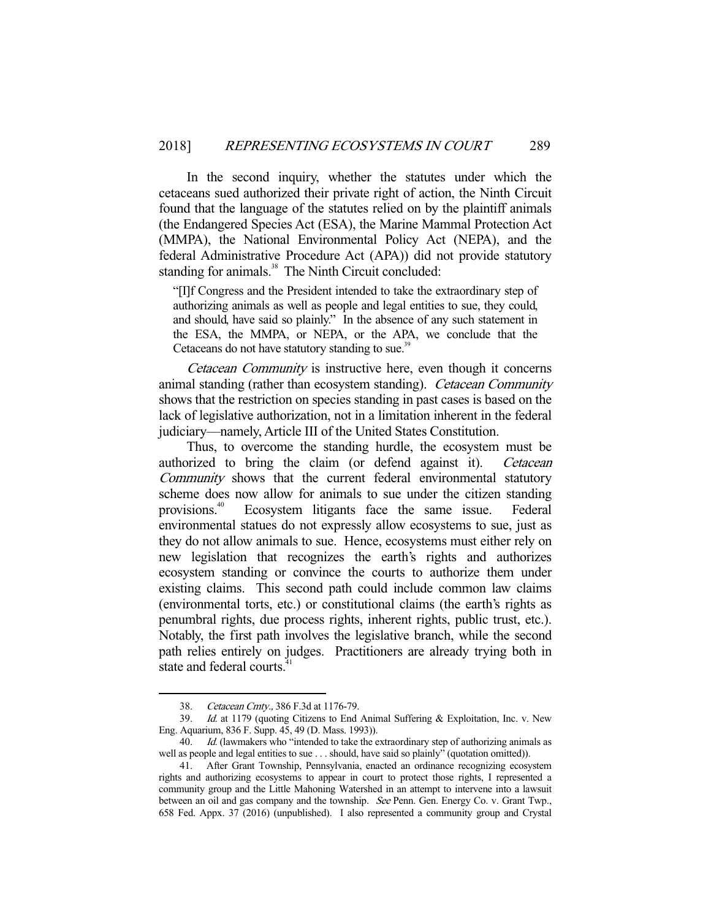In the second inquiry, whether the statutes under which the cetaceans sued authorized their private right of action, the Ninth Circuit found that the language of the statutes relied on by the plaintiff animals (the Endangered Species Act (ESA), the Marine Mammal Protection Act (MMPA), the National Environmental Policy Act (NEPA), and the federal Administrative Procedure Act (APA)) did not provide statutory standing for animals.<sup>38</sup> The Ninth Circuit concluded:

"[I]f Congress and the President intended to take the extraordinary step of authorizing animals as well as people and legal entities to sue, they could, and should, have said so plainly." In the absence of any such statement in the ESA, the MMPA, or NEPA, or the APA, we conclude that the Cetaceans do not have statutory standing to sue.<sup>39</sup>

 Cetacean Community is instructive here, even though it concerns animal standing (rather than ecosystem standing). Cetacean Community shows that the restriction on species standing in past cases is based on the lack of legislative authorization, not in a limitation inherent in the federal judiciary—namely, Article III of the United States Constitution.

 Thus, to overcome the standing hurdle, the ecosystem must be authorized to bring the claim (or defend against it). Cetacean Community shows that the current federal environmental statutory scheme does now allow for animals to sue under the citizen standing provisions.40 Ecosystem litigants face the same issue. Federal environmental statues do not expressly allow ecosystems to sue, just as they do not allow animals to sue. Hence, ecosystems must either rely on new legislation that recognizes the earth's rights and authorizes ecosystem standing or convince the courts to authorize them under existing claims. This second path could include common law claims (environmental torts, etc.) or constitutional claims (the earth's rights as penumbral rights, due process rights, inherent rights, public trust, etc.). Notably, the first path involves the legislative branch, while the second path relies entirely on judges. Practitioners are already trying both in state and federal courts.<sup>41</sup>

 <sup>38.</sup> Cetacean Cmty., 386 F.3d at 1176-79.

 <sup>39.</sup> Id. at 1179 (quoting Citizens to End Animal Suffering & Exploitation, Inc. v. New Eng. Aquarium, 836 F. Supp. 45, 49 (D. Mass. 1993)).

<sup>40.</sup> *Id.* (lawmakers who "intended to take the extraordinary step of authorizing animals as well as people and legal entities to sue . . . should, have said so plainly" (quotation omitted)).

 <sup>41.</sup> After Grant Township, Pennsylvania, enacted an ordinance recognizing ecosystem rights and authorizing ecosystems to appear in court to protect those rights, I represented a community group and the Little Mahoning Watershed in an attempt to intervene into a lawsuit between an oil and gas company and the township. See Penn. Gen. Energy Co. v. Grant Twp., 658 Fed. Appx. 37 (2016) (unpublished). I also represented a community group and Crystal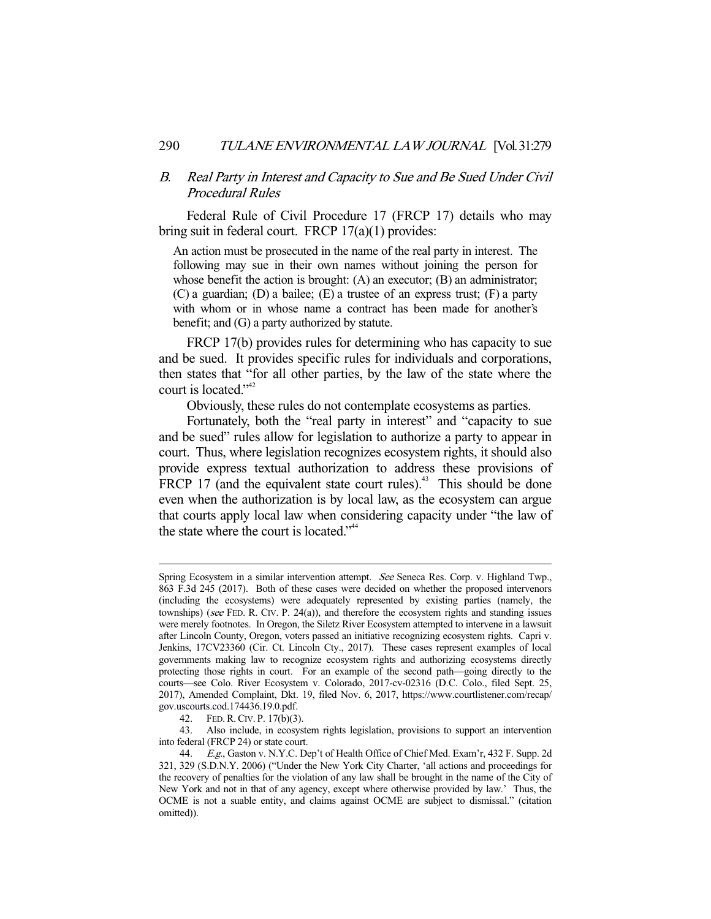## B. Real Party in Interest and Capacity to Sue and Be Sued Under Civil Procedural Rules

 Federal Rule of Civil Procedure 17 (FRCP 17) details who may bring suit in federal court. FRCP 17(a)(1) provides:

An action must be prosecuted in the name of the real party in interest. The following may sue in their own names without joining the person for whose benefit the action is brought: (A) an executor; (B) an administrator; (C) a guardian; (D) a bailee; (E) a trustee of an express trust; (F) a party with whom or in whose name a contract has been made for another's benefit; and (G) a party authorized by statute.

 FRCP 17(b) provides rules for determining who has capacity to sue and be sued. It provides specific rules for individuals and corporations, then states that "for all other parties, by the law of the state where the court is located."<sup>42</sup>

Obviously, these rules do not contemplate ecosystems as parties.

 Fortunately, both the "real party in interest" and "capacity to sue and be sued" rules allow for legislation to authorize a party to appear in court. Thus, where legislation recognizes ecosystem rights, it should also provide express textual authorization to address these provisions of FRCP 17 (and the equivalent state court rules).<sup>43</sup> This should be done even when the authorization is by local law, as the ecosystem can argue that courts apply local law when considering capacity under "the law of the state where the court is located."<sup>44</sup>

Spring Ecosystem in a similar intervention attempt. See Seneca Res. Corp. v. Highland Twp., 863 F.3d 245 (2017). Both of these cases were decided on whether the proposed intervenors (including the ecosystems) were adequately represented by existing parties (namely, the townships) (see FED. R. CIV. P. 24(a)), and therefore the ecosystem rights and standing issues were merely footnotes. In Oregon, the Siletz River Ecosystem attempted to intervene in a lawsuit after Lincoln County, Oregon, voters passed an initiative recognizing ecosystem rights. Capri v. Jenkins, 17CV23360 (Cir. Ct. Lincoln Cty., 2017). These cases represent examples of local governments making law to recognize ecosystem rights and authorizing ecosystems directly protecting those rights in court. For an example of the second path—going directly to the courts—see Colo. River Ecosystem v. Colorado, 2017-cv-02316 (D.C. Colo., filed Sept. 25, 2017), Amended Complaint, Dkt. 19, filed Nov. 6, 2017, https://www.courtlistener.com/recap/ gov.uscourts.cod.174436.19.0.pdf.

 <sup>42.</sup> FED.R.CIV. P. 17(b)(3).

 <sup>43.</sup> Also include, in ecosystem rights legislation, provisions to support an intervention into federal (FRCP 24) or state court.

<sup>44.</sup> E.g., Gaston v. N.Y.C. Dep't of Health Office of Chief Med. Exam'r, 432 F. Supp. 2d 321, 329 (S.D.N.Y. 2006) ("Under the New York City Charter, 'all actions and proceedings for the recovery of penalties for the violation of any law shall be brought in the name of the City of New York and not in that of any agency, except where otherwise provided by law.' Thus, the OCME is not a suable entity, and claims against OCME are subject to dismissal." (citation omitted)).